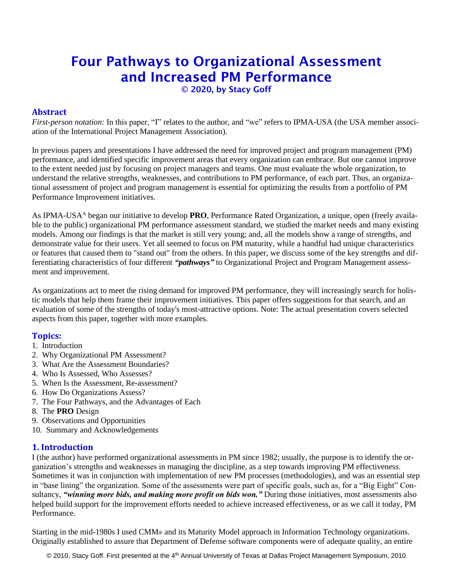# Four Pathways to Organizational Assessment and Increased PM Performance

© 2020, by Stacy Goff

## **Abstract**

*First-person notation:* In this paper, "I" relates to the author, and "we" refers to IPMA-USA (the USA member association of the International Project Management Association).

In previous papers and presentations I have addressed the need for improved project and program management (PM) performance, and identified specific improvement areas that every organization can embrace. But one cannot improve to the extent needed just by focusing on project managers and teams. One must evaluate the whole organization, to understand the relative strengths, weaknesses, and contributions to PM performance, of each part. Thus, an organizational assessment of project and program management is essential for optimizing the results from a portfolio of PM Performance Improvement initiatives.

As IPMA-USA<sup>A</sup> began our initiative to develop **PRO**, Performance Rated Organization, a unique, open (freely available to the public) organizational PM performance assessment standard, we studied the market needs and many existing models. Among our findings is that the market is still very young; and, all the models show a range of strengths, and demonstrate value for their users. Yet all seemed to focus on PM maturity, while a handful had unique characteristics or features that caused them to "stand out" from the others. In this paper, we discuss some of the key strengths and differentiating characteristics of four different *"pathways"* to Organizational Project and Program Management assessment and improvement.

As organizations act to meet the rising demand for improved PM performance, they will increasingly search for holistic models that help them frame their improvement initiatives. This paper offers suggestions for that search, and an evaluation of some of the strengths of today's most-attractive options. Note: The actual presentation covers selected aspects from this paper, together with more examples.

## **Topics:**

- 1. Introduction
- 2. Why Organizational PM Assessment?
- 3. What Are the Assessment Boundaries?
- 4. Who Is Assessed, Who Assesses?
- 5. When Is the Assessment, Re-assessment?
- 6. How Do Organizations Assess?
- 7. The Four Pathways, and the Advantages of Each
- 8. The **PRO** Design
- 9. Observations and Opportunities
- 10. Summary and Acknowledgements

# **1. Introduction**

I (the author) have performed organizational assessments in PM since 1982; usually, the purpose is to identify the organization's strengths and weaknesses in managing the discipline, as a step towards improving PM effectiveness. Sometimes it was in conjunction with implementation of new PM processes (methodologies), and was an essential step in "base lining" the organization. Some of the assessments were part of specific goals, such as, for a "Big Eight" Consultancy, *"winning more bids, and making more profit on bids won."* During those initiatives, most assessments also helped build support for the improvement efforts needed to achieve increased effectiveness, or as we call it today, PM Performance.

Starting in the mid-1980s I used CMM® and its Maturity Model approach in Information Technology organizations. Originally established to assure that Department of Defense software components were of adequate quality, an entire

© 2010, Stacy Goff. First presented at the 4<sup>th</sup> Annual University of Texas at Dallas Project Management Symposium, 2010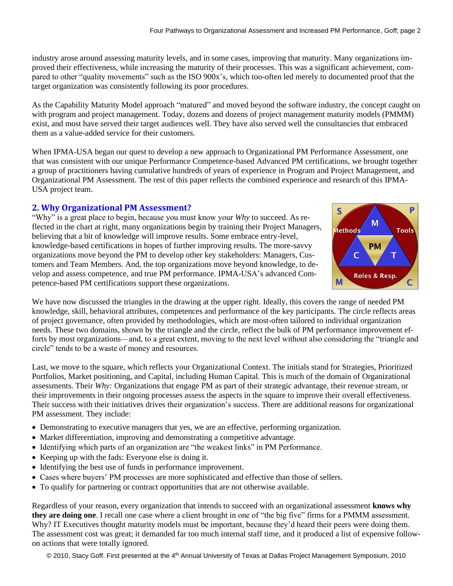industry arose around assessing maturity levels, and in some cases, improving that maturity. Many organizations improved their effectiveness, while increasing the maturity of their processes. This was a significant achievement, compared to other "quality movements" such as the ISO 900x's, which too-often led merely to documented proof that the target organization was consistently following its poor procedures.

As the Capability Maturity Model approach "matured" and moved beyond the software industry, the concept caught on with program and project management. Today, dozens and dozens of project management maturity models (PMMM) exist, and most have served their target audiences well. They have also served well the consultancies that embraced them as a value-added service for their customers.

When IPMA-USA began our quest to develop a new approach to Organizational PM Performance Assessment, one that was consistent with our unique Performance Competence-based Advanced PM certifications, we brought together a group of practitioners having cumulative hundreds of years of experience in Program and Project Management, and Organizational PM Assessment. The rest of this paper reflects the combined experience and research of this IPMA-USA project team.

## **2. Why Organizational PM Assessment?**

"Why" is a great place to begin, because you must know your *Why* to succeed. As reflected in the chart at right, many organizations begin by training their Project Managers, believing that a bit of knowledge will improve results. Some embrace entry-level, knowledge-based certifications in hopes of further improving results. The more-savvy organizations move beyond the PM to develop other key stakeholders: Managers, Customers and Team Members. And, the top organizations move beyond knowledge, to develop and assess competence, and true PM performance. IPMA-USA's advanced Competence-based PM certifications support these organizations.



We have now discussed the triangles in the drawing at the upper right. Ideally, this covers the range of needed PM knowledge, skill, behavioral attributes, competences and performance of the key participants. The circle reflects areas of project governance, often provided by methodologies, which are most-often tailored to individual organization needs. These two domains, shown by the triangle and the circle, reflect the bulk of PM performance improvement efforts by most organizations—and, to a great extent, moving to the next level without also considering the "triangle and circle" tends to be a waste of money and resources.

Last, we move to the square, which reflects your Organizational Context. The initials stand for Strategies, Prioritized Portfolios, Market positioning, and Capital, including Human Capital. This is much of the domain of Organizational assessments. Their *Why:* Organizations that engage PM as part of their strategic advantage, their revenue stream, or their improvements in their ongoing processes assess the aspects in the square to improve their overall effectiveness. Their success with their initiatives drives their organization's success. There are additional reasons for organizational PM assessment. They include:

- Demonstrating to executive managers that yes, we are an effective, performing organization.
- Market differentiation, improving and demonstrating a competitive advantage.
- Identifying which parts of an organization are "the weakest links" in PM Performance.
- Keeping up with the fads: Everyone else is doing it.
- Identifying the best use of funds in performance improvement.
- Cases where buyers' PM processes are more sophisticated and effective than those of sellers.
- To qualify for partnering or contract opportunities that are not otherwise available.

Regardless of your reason, every organization that intends to succeed with an organizational assessment **knows why they are doing one**. I recall one case where a client brought in one of "the big five" firms for a PMMM assessment. Why? IT Executives thought maturity models must be important, because they'd heard their peers were doing them. The assessment cost was great; it demanded far too much internal staff time, and it produced a list of expensive followon actions that were totally ignored.

© 2010, Stacy Goff. First presented at the 4<sup>th</sup> Annual University of Texas at Dallas Project Management Symposium, 2010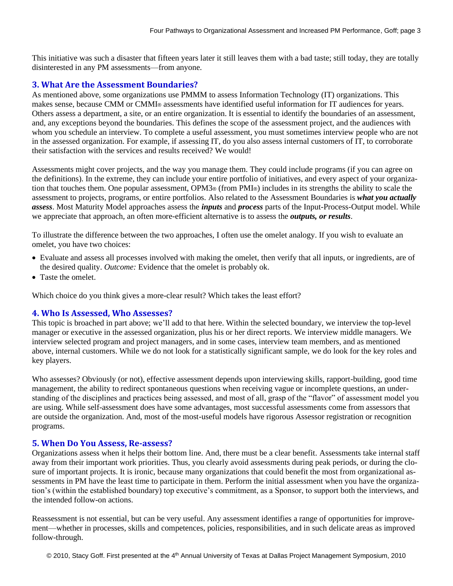This initiative was such a disaster that fifteen years later it still leaves them with a bad taste; still today, they are totally disinterested in any PM assessments—from anyone.

#### **3. What Are the Assessment Boundaries?**

As mentioned above, some organizations use PMMM to assess Information Technology (IT) organizations. This makes sense, because CMM or CMMI® assessments have identified useful information for IT audiences for years. Others assess a department, a site, or an entire organization. It is essential to identify the boundaries of an assessment, and, any exceptions beyond the boundaries. This defines the scope of the assessment project, and the audiences with whom you schedule an interview. To complete a useful assessment, you must sometimes interview people who are not in the assessed organization. For example, if assessing IT, do you also assess internal customers of IT, to corroborate their satisfaction with the services and results received? We would!

Assessments might cover projects, and the way you manage them. They could include programs (if you can agree on the definitions). In the extreme, they can include your entire portfolio of initiatives, and every aspect of your organization that touches them. One popular assessment, OPM3® (from PMI®) includes in its strengths the ability to scale the assessment to projects, programs, or entire portfolios. Also related to the Assessment Boundaries is *what you actually assess*. Most Maturity Model approaches assess the *inputs* and *process* parts of the Input-Process-Output model. While we appreciate that approach, an often more-efficient alternative is to assess the *outputs, or results*.

To illustrate the difference between the two approaches, I often use the omelet analogy. If you wish to evaluate an omelet, you have two choices:

- Evaluate and assess all processes involved with making the omelet, then verify that all inputs, or ingredients, are of the desired quality. *Outcome:* Evidence that the omelet is probably ok.
- Taste the omelet.

Which choice do you think gives a more-clear result? Which takes the least effort?

## **4. Who Is Assessed, Who Assesses?**

This topic is broached in part above; we'll add to that here. Within the selected boundary, we interview the top-level manager or executive in the assessed organization, plus his or her direct reports. We interview middle managers. We interview selected program and project managers, and in some cases, interview team members, and as mentioned above, internal customers. While we do not look for a statistically significant sample, we do look for the key roles and key players.

Who assesses? Obviously (or not), effective assessment depends upon interviewing skills, rapport-building, good time management, the ability to redirect spontaneous questions when receiving vague or incomplete questions, an understanding of the disciplines and practices being assessed, and most of all, grasp of the "flavor" of assessment model you are using. While self-assessment does have some advantages, most successful assessments come from assessors that are outside the organization. And, most of the most-useful models have rigorous Assessor registration or recognition programs.

#### **5. When Do You Assess, Re-assess?**

Organizations assess when it helps their bottom line. And, there must be a clear benefit. Assessments take internal staff away from their important work priorities. Thus, you clearly avoid assessments during peak periods, or during the closure of important projects. It is ironic, because many organizations that could benefit the most from organizational assessments in PM have the least time to participate in them. Perform the initial assessment when you have the organization's (within the established boundary) top executive's commitment, as a Sponsor, to support both the interviews, and the intended follow-on actions.

Reassessment is not essential, but can be very useful. Any assessment identifies a range of opportunities for improvement—whether in processes, skills and competences, policies, responsibilities, and in such delicate areas as improved follow-through.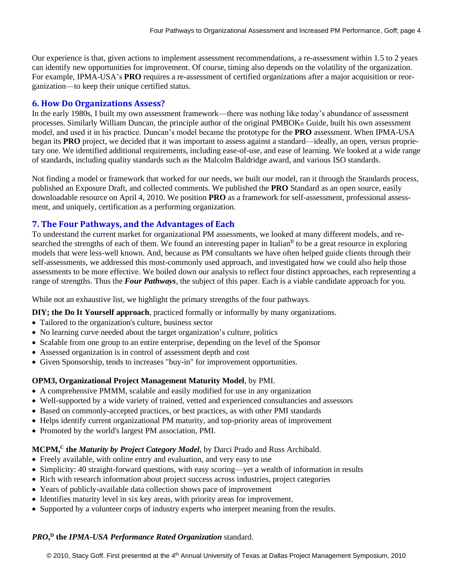Our experience is that, given actions to implement assessment recommendations, a re-assessment within 1.5 to 2 years can identify new opportunities for improvement. Of course, timing also depends on the volatility of the organization. For example, IPMA-USA's **PRO** requires a re-assessment of certified organizations after a major acquisition or reorganization—to keep their unique certified status.

#### **6. How Do Organizations Assess?**

In the early 1980s, I built my own assessment framework—there was nothing like today's abundance of assessment processes. Similarly William Duncan, the principle author of the original PMBOK® Guide, built his own assessment model, and used it in his practice. Duncan's model became the prototype for the **PRO** assessment. When IPMA-USA began its **PRO** project, we decided that it was important to assess against a standard—ideally, an open, versus proprietary one. We identified additional requirements, including ease-of-use, and ease of learning. We looked at a wide range of standards, including quality standards such as the Malcolm Baldridge award, and various ISO standards.

Not finding a model or framework that worked for our needs, we built our model, ran it through the Standards process, published an Exposure Draft, and collected comments. We published the **PRO** Standard as an open source, easily downloadable resource on April 4, 2010. We position **PRO** as a framework for self-assessment, professional assessment, and uniquely, certification as a performing organization.

### **7. The Four Pathways, and the Advantages of Each**

To understand the current market for organizational PM assessments, we looked at many different models, and researched the strengths of each of them. We found an interesting paper in Italian<sup>B</sup> to be a great resource in exploring models that were less-well known. And, because as PM consultants we have often helped guide clients through their self-assessments, we addressed this most-commonly used approach, and investigated how we could also help those assessments to be more effective. We boiled down our analysis to reflect four distinct approaches, each representing a range of strengths. Thus the *Four Pathways*, the subject of this paper. Each is a viable candidate approach for you.

While not an exhaustive list, we highlight the primary strengths of the four pathways.

**DIY; the Do It Yourself approach**, practiced formally or informally by many organizations.

- Tailored to the organization's culture, business sector
- No learning curve needed about the target organization's culture, politics
- Scalable from one group to an entire enterprise, depending on the level of the Sponsor
- Assessed organization is in control of assessment depth and cost
- Given Sponsorship, tends to increases "buy-in" for improvement opportunities.

#### **OPM3, Organizational Project Management Maturity Model**, by PMI.

- A comprehensive PMMM, scalable and easily modified for use in any organization
- Well-supported by a wide variety of trained, vetted and experienced consultancies and assessors
- Based on commonly-accepted practices, or best practices, as with other PMI standards
- Helps identify current organizational PM maturity, and top-priority areas of improvement
- Promoted by the world's largest PM association, PMI.

#### **MCPM,<sup>C</sup> the** *Maturity by Project Category Model*, by Darci Prado and Russ Archibald.

- Freely available, with online entry and evaluation, and very easy to use
- Simplicity: 40 straight-forward questions, with easy scoring—yet a wealth of information in results
- Rich with research information about project success across industries, project categories
- Years of publicly-available data collection shows pace of improvement
- Identifies maturity level in six key areas, with priority areas for improvement.
- Supported by a volunteer corps of industry experts who interpret meaning from the results.

#### *PRO***, D the** *IPMA-USA Performance Rated Organization* standard.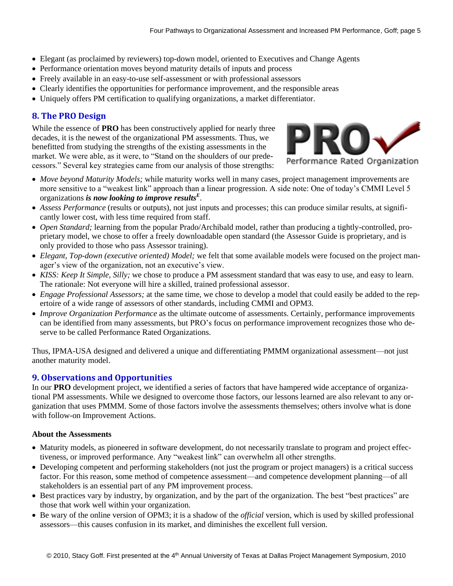- Elegant (as proclaimed by reviewers) top-down model, oriented to Executives and Change Agents
- Performance orientation moves beyond maturity details of inputs and process
- Freely available in an easy-to-use self-assessment or with professional assessors
- Clearly identifies the opportunities for performance improvement, and the responsible areas
- Uniquely offers PM certification to qualifying organizations, a market differentiator.

# **8. The PRO Design**

While the essence of **PRO** has been constructively applied for nearly three decades, it is the newest of the organizational PM assessments. Thus, we benefitted from studying the strengths of the existing assessments in the market. We were able, as it were, to "Stand on the shoulders of our predecessors." Several key strategies came from our analysis of those strengths:



- *Move beyond Maturity Models;* while maturity works well in many cases, project management improvements are more sensitive to a "weakest link" approach than a linear progression. A side note: One of today's CMMI Level 5 organizations *is now looking to improve results<sup>E</sup>* .
- *Assess Performance* (results or outputs), not just inputs and processes; this can produce similar results, at significantly lower cost, with less time required from staff.
- *Open Standard;* learning from the popular Prado/Archibald model, rather than producing a tightly-controlled, proprietary model, we chose to offer a freely downloadable open standard (the Assessor Guide is proprietary, and is only provided to those who pass Assessor training).
- *Elegant, Top-down (executive oriented) Model;* we felt that some available models were focused on the project manager's view of the organization, not an executive's view.
- *KISS: Keep It Simple, Silly;* we chose to produce a PM assessment standard that was easy to use, and easy to learn. The rationale: Not everyone will hire a skilled, trained professional assessor.
- *Engage Professional Assessors;* at the same time, we chose to develop a model that could easily be added to the repertoire of a wide range of assessors of other standards, including CMMI and OPM3.
- *Improve Organization Performance* as the ultimate outcome of assessments. Certainly, performance improvements can be identified from many assessments, but PRO's focus on performance improvement recognizes those who deserve to be called Performance Rated Organizations.

Thus, IPMA-USA designed and delivered a unique and differentiating PMMM organizational assessment—not just another maturity model.

# **9. Observations and Opportunities**

In our **PRO** development project, we identified a series of factors that have hampered wide acceptance of organizational PM assessments. While we designed to overcome those factors, our lessons learned are also relevant to any organization that uses PMMM. Some of those factors involve the assessments themselves; others involve what is done with follow-on Improvement Actions.

#### **About the Assessments**

- Maturity models, as pioneered in software development, do not necessarily translate to program and project effectiveness, or improved performance. Any "weakest link" can overwhelm all other strengths.
- Developing competent and performing stakeholders (not just the program or project managers) is a critical success factor. For this reason, some method of competence assessment—and competence development planning—of all stakeholders is an essential part of any PM improvement process.
- Best practices vary by industry, by organization, and by the part of the organization. The best "best practices" are those that work well within your organization.
- Be wary of the online version of OPM3; it is a shadow of the *official* version, which is used by skilled professional assessors—this causes confusion in its market, and diminishes the excellent full version.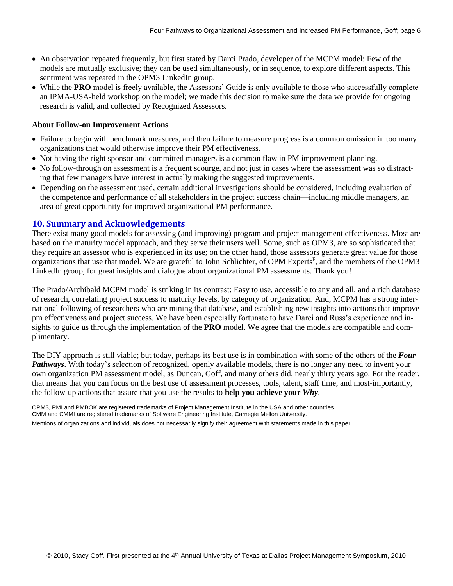- An observation repeated frequently, but first stated by Darci Prado, developer of the MCPM model: Few of the models are mutually exclusive; they can be used simultaneously, or in sequence, to explore different aspects. This sentiment was repeated in the OPM3 LinkedIn group.
- While the **PRO** model is freely available, the Assessors' Guide is only available to those who successfully complete an IPMA-USA-held workshop on the model; we made this decision to make sure the data we provide for ongoing research is valid, and collected by Recognized Assessors.

#### **About Follow-on Improvement Actions**

- Failure to begin with benchmark measures, and then failure to measure progress is a common omission in too many organizations that would otherwise improve their PM effectiveness.
- Not having the right sponsor and committed managers is a common flaw in PM improvement planning.
- No follow-through on assessment is a frequent scourge, and not just in cases where the assessment was so distracting that few managers have interest in actually making the suggested improvements.
- Depending on the assessment used, certain additional investigations should be considered, including evaluation of the competence and performance of all stakeholders in the project success chain—including middle managers, an area of great opportunity for improved organizational PM performance.

#### **10. Summary and Acknowledgements**

There exist many good models for assessing (and improving) program and project management effectiveness. Most are based on the maturity model approach, and they serve their users well. Some, such as OPM3, are so sophisticated that they require an assessor who is experienced in its use; on the other hand, those assessors generate great value for those organizations that use that model. We are grateful to John Schlichter, of OPM Experts<sup>F</sup>, and the members of the OPM3 LinkedIn group, for great insights and dialogue about organizational PM assessments. Thank you!

The Prado/Archibald MCPM model is striking in its contrast: Easy to use, accessible to any and all, and a rich database of research, correlating project success to maturity levels, by category of organization. And, MCPM has a strong international following of researchers who are mining that database, and establishing new insights into actions that improve pm effectiveness and project success. We have been especially fortunate to have Darci and Russ's experience and insights to guide us through the implementation of the **PRO** model. We agree that the models are compatible and complimentary.

The DIY approach is still viable; but today, perhaps its best use is in combination with some of the others of the *Four Pathways*. With today's selection of recognized, openly available models, there is no longer any need to invent your own organization PM assessment model, as Duncan, Goff, and many others did, nearly thirty years ago. For the reader, that means that you can focus on the best use of assessment processes, tools, talent, staff time, and most-importantly, the follow-up actions that assure that you use the results to **help you achieve your** *Why*.

OPM3, PMI and PMBOK are registered trademarks of Project Management Institute in the USA and other countries. CMM and CMMI are registered trademarks of Software Engineering Institute, Carnegie Mellon University.

Mentions of organizations and individuals does not necessarily signify their agreement with statements made in this paper.